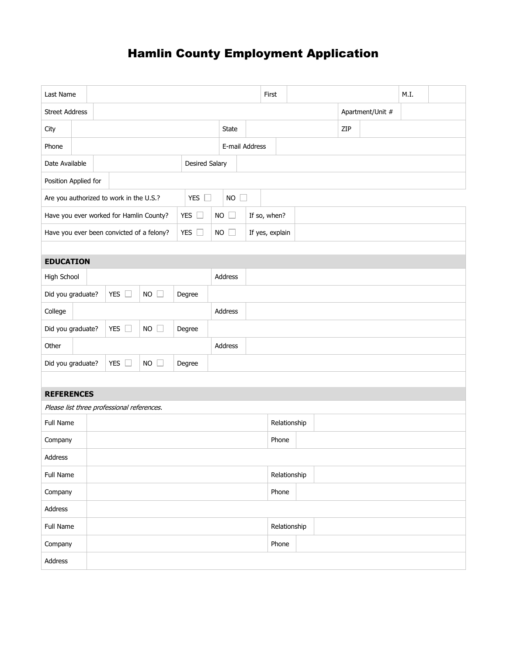## Hamlin County Employment Application

| Last Name                                                                                                |  |                                            |             |         |                |              | First        |                 |  |                  |  | M.I. |  |  |
|----------------------------------------------------------------------------------------------------------|--|--------------------------------------------|-------------|---------|----------------|--------------|--------------|-----------------|--|------------------|--|------|--|--|
| <b>Street Address</b>                                                                                    |  |                                            |             |         |                |              |              |                 |  | Apartment/Unit # |  |      |  |  |
| City                                                                                                     |  |                                            |             |         |                | <b>State</b> |              |                 |  | ZIP              |  |      |  |  |
| Phone                                                                                                    |  |                                            |             |         | E-mail Address |              |              |                 |  |                  |  |      |  |  |
| Date Available<br>Desired Salary                                                                         |  |                                            |             |         |                |              |              |                 |  |                  |  |      |  |  |
| Position Applied for                                                                                     |  |                                            |             |         |                |              |              |                 |  |                  |  |      |  |  |
| <b>YES</b><br>Are you authorized to work in the U.S.?<br><b>NO</b><br>$\Box$<br>$\overline{\phantom{a}}$ |  |                                            |             |         |                |              |              |                 |  |                  |  |      |  |  |
| YES $\square$<br>Have you ever worked for Hamlin County?                                                 |  |                                            |             |         | <b>NO</b>      | $\Box$       |              | If so, when?    |  |                  |  |      |  |  |
| YES $\square$<br>Have you ever been convicted of a felony?                                               |  |                                            |             |         | <b>NO</b>      |              |              | If yes, explain |  |                  |  |      |  |  |
|                                                                                                          |  |                                            |             |         |                |              |              |                 |  |                  |  |      |  |  |
| <b>EDUCATION</b>                                                                                         |  |                                            |             |         |                |              |              |                 |  |                  |  |      |  |  |
| High School                                                                                              |  |                                            |             |         | Address        |              |              |                 |  |                  |  |      |  |  |
| Did you graduate?                                                                                        |  | YES $\square$                              | $NO$ $\Box$ | Degree  |                |              |              |                 |  |                  |  |      |  |  |
| College                                                                                                  |  |                                            |             |         |                | Address      |              |                 |  |                  |  |      |  |  |
| Did you graduate?                                                                                        |  | <b>YES</b><br>П                            | NO          | Degree  |                |              |              |                 |  |                  |  |      |  |  |
| Other                                                                                                    |  |                                            |             | Address |                |              |              |                 |  |                  |  |      |  |  |
| Did you graduate?                                                                                        |  | <b>YES</b><br>$\Box$                       | NO          | Degree  |                |              |              |                 |  |                  |  |      |  |  |
|                                                                                                          |  |                                            |             |         |                |              |              |                 |  |                  |  |      |  |  |
| <b>REFERENCES</b>                                                                                        |  |                                            |             |         |                |              |              |                 |  |                  |  |      |  |  |
|                                                                                                          |  | Please list three professional references. |             |         |                |              |              |                 |  |                  |  |      |  |  |
| Full Name                                                                                                |  |                                            |             |         |                |              | Relationship |                 |  |                  |  |      |  |  |
| Company                                                                                                  |  |                                            |             |         |                |              |              | Phone           |  |                  |  |      |  |  |
| Address                                                                                                  |  |                                            |             |         |                |              |              |                 |  |                  |  |      |  |  |
| Full Name                                                                                                |  |                                            |             |         | Relationship   |              |              |                 |  |                  |  |      |  |  |
| Company                                                                                                  |  |                                            |             |         |                |              | Phone        |                 |  |                  |  |      |  |  |
| Address                                                                                                  |  |                                            |             |         |                |              |              |                 |  |                  |  |      |  |  |
| Full Name                                                                                                |  |                                            |             |         |                |              | Relationship |                 |  |                  |  |      |  |  |
| Company                                                                                                  |  |                                            |             |         |                |              | Phone        |                 |  |                  |  |      |  |  |
| Address                                                                                                  |  |                                            |             |         |                |              |              |                 |  |                  |  |      |  |  |